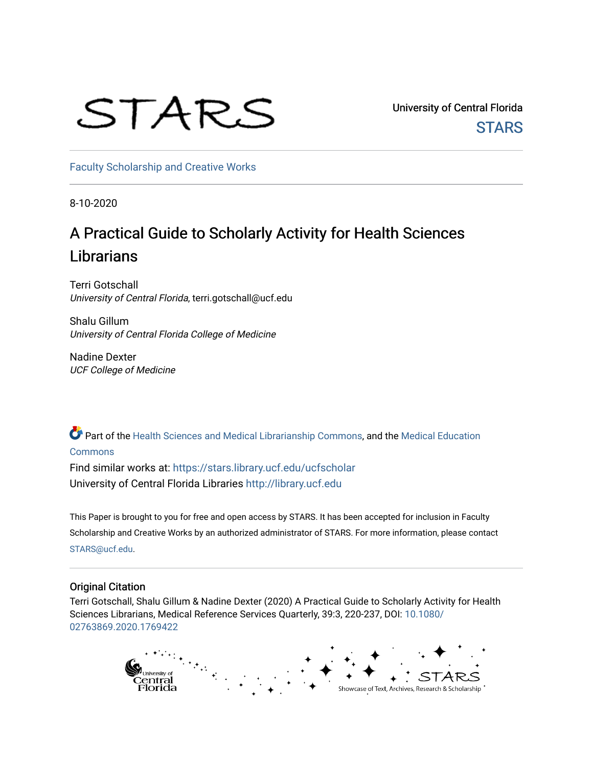# STARS

University of Central Florida **STARS** 

[Faculty Scholarship and Creative Works](https://stars.library.ucf.edu/ucfscholar) 

8-10-2020

# A Practical Guide to Scholarly Activity for Health Sciences Librarians

Terri Gotschall University of Central Florida, terri.gotschall@ucf.edu

Shalu Gillum University of Central Florida College of Medicine

Nadine Dexter UCF College of Medicine

Part of the [Health Sciences and Medical Librarianship Commons](http://network.bepress.com/hgg/discipline/1419?utm_source=stars.library.ucf.edu%2Fucfscholar%2F1057&utm_medium=PDF&utm_campaign=PDFCoverPages), and the [Medical Education](http://network.bepress.com/hgg/discipline/1125?utm_source=stars.library.ucf.edu%2Fucfscholar%2F1057&utm_medium=PDF&utm_campaign=PDFCoverPages) [Commons](http://network.bepress.com/hgg/discipline/1125?utm_source=stars.library.ucf.edu%2Fucfscholar%2F1057&utm_medium=PDF&utm_campaign=PDFCoverPages)

Find similar works at: <https://stars.library.ucf.edu/ucfscholar> University of Central Florida Libraries [http://library.ucf.edu](http://library.ucf.edu/) 

This Paper is brought to you for free and open access by STARS. It has been accepted for inclusion in Faculty Scholarship and Creative Works by an authorized administrator of STARS. For more information, please contact [STARS@ucf.edu](mailto:STARS@ucf.edu).

# Original Citation

Terri Gotschall, Shalu Gillum & Nadine Dexter (2020) A Practical Guide to Scholarly Activity for Health Sciences Librarians, Medical Reference Services Quarterly, 39:3, 220-237, DOI: [10.1080/](https://doi.org/10.1080/02763869.2020.1769422) [02763869.2020.1769422](https://doi.org/10.1080/02763869.2020.1769422) 

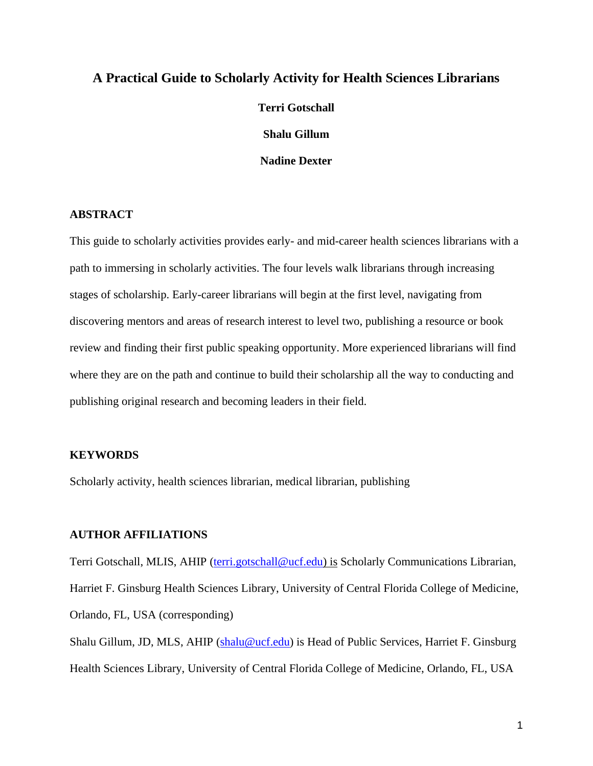# **A Practical Guide to Scholarly Activity for Health Sciences Librarians**

**Terri Gotschall Shalu Gillum Nadine Dexter**

# **ABSTRACT**

This guide to scholarly activities provides early- and mid-career health sciences librarians with a path to immersing in scholarly activities. The four levels walk librarians through increasing stages of scholarship. Early-career librarians will begin at the first level, navigating from discovering mentors and areas of research interest to level two, publishing a resource or book review and finding their first public speaking opportunity. More experienced librarians will find where they are on the path and continue to build their scholarship all the way to conducting and publishing original research and becoming leaders in their field.

#### **KEYWORDS**

Scholarly activity, health sciences librarian, medical librarian, publishing

#### **AUTHOR AFFILIATIONS**

Terri Gotschall, MLIS, AHIP [\(terri.gotschall@ucf.edu\)](mailto:terri.gotschall@ucf.edu) is Scholarly Communications Librarian, Harriet F. Ginsburg Health Sciences Library, University of Central Florida College of Medicine, Orlando, FL, USA (corresponding)

Shalu Gillum, JD, MLS, AHIP [\(shalu@ucf.edu\)](mailto:shalu@ucf.edu) is Head of Public Services, Harriet F. Ginsburg Health Sciences Library, University of Central Florida College of Medicine, Orlando, FL, USA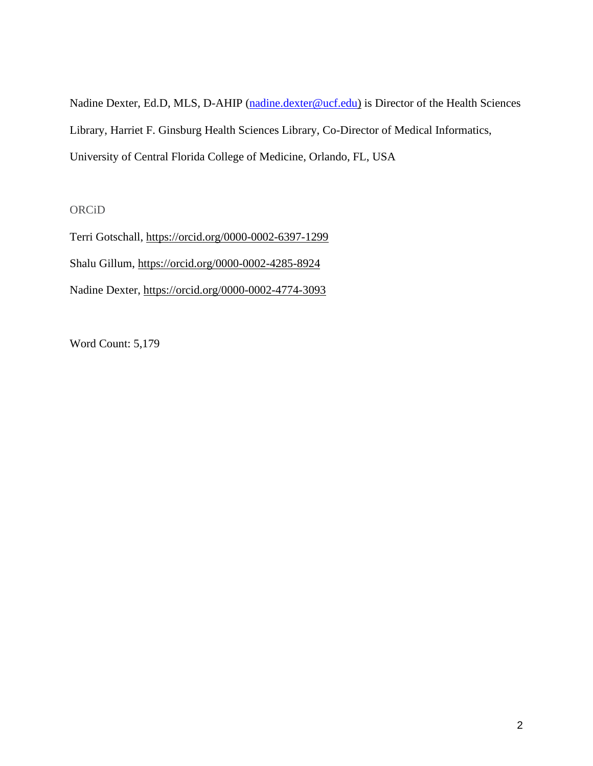Nadine Dexter, Ed.D, MLS, D-AHIP [\(nadine.dexter@ucf.edu\)](mailto:nadine.dexter@ucf.edu) is Director of the Health Sciences Library, Harriet F. Ginsburg Health Sciences Library, Co-Director of Medical Informatics, University of Central Florida College of Medicine, Orlando, FL, USA

# ORCiD

Terri Gotschall,<https://orcid.org/0000-0002-6397-1299> Shalu Gillum,<https://orcid.org/0000-0002-4285-8924> Nadine Dexter,<https://orcid.org/0000-0002-4774-3093>

Word Count: 5,179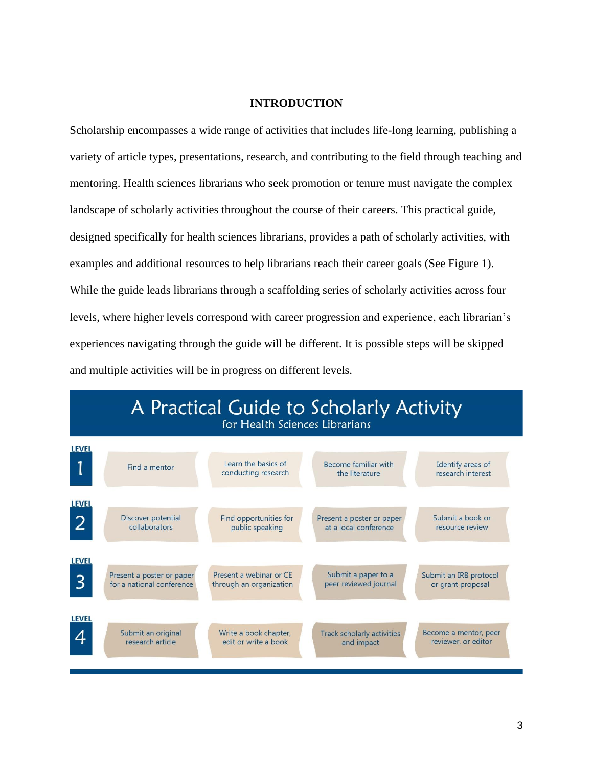# **INTRODUCTION**

Scholarship encompasses a wide range of activities that includes life-long learning, publishing a variety of article types, presentations, research, and contributing to the field through teaching and mentoring. Health sciences librarians who seek promotion or tenure must navigate the complex landscape of scholarly activities throughout the course of their careers. This practical guide, designed specifically for health sciences librarians, provides a path of scholarly activities, with examples and additional resources to help librarians reach their career goals (See Figure 1). While the guide leads librarians through a scaffolding series of scholarly activities across four levels, where higher levels correspond with career progression and experience, each librarian's experiences navigating through the guide will be different. It is possible steps will be skipped and multiple activities will be in progress on different levels.

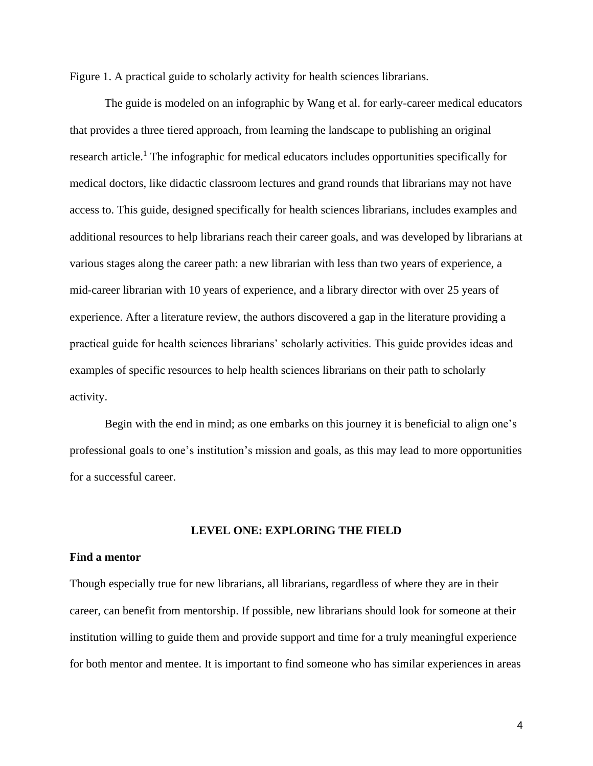Figure 1. A practical guide to scholarly activity for health sciences librarians.

The guide is modeled on an infographic by Wang et al. for early-career medical educators that provides a three tiered approach, from learning the landscape to publishing an original research article.<sup>1</sup> The infographic for medical educators includes opportunities specifically for medical doctors, like didactic classroom lectures and grand rounds that librarians may not have access to. This guide, designed specifically for health sciences librarians, includes examples and additional resources to help librarians reach their career goals, and was developed by librarians at various stages along the career path: a new librarian with less than two years of experience, a mid-career librarian with 10 years of experience, and a library director with over 25 years of experience. After a literature review, the authors discovered a gap in the literature providing a practical guide for health sciences librarians' scholarly activities. This guide provides ideas and examples of specific resources to help health sciences librarians on their path to scholarly activity.

Begin with the end in mind; as one embarks on this journey it is beneficial to align one's professional goals to one's institution's mission and goals, as this may lead to more opportunities for a successful career.

# **LEVEL ONE: EXPLORING THE FIELD**

# **Find a mentor**

Though especially true for new librarians, all librarians, regardless of where they are in their career, can benefit from mentorship. If possible, new librarians should look for someone at their institution willing to guide them and provide support and time for a truly meaningful experience for both mentor and mentee. It is important to find someone who has similar experiences in areas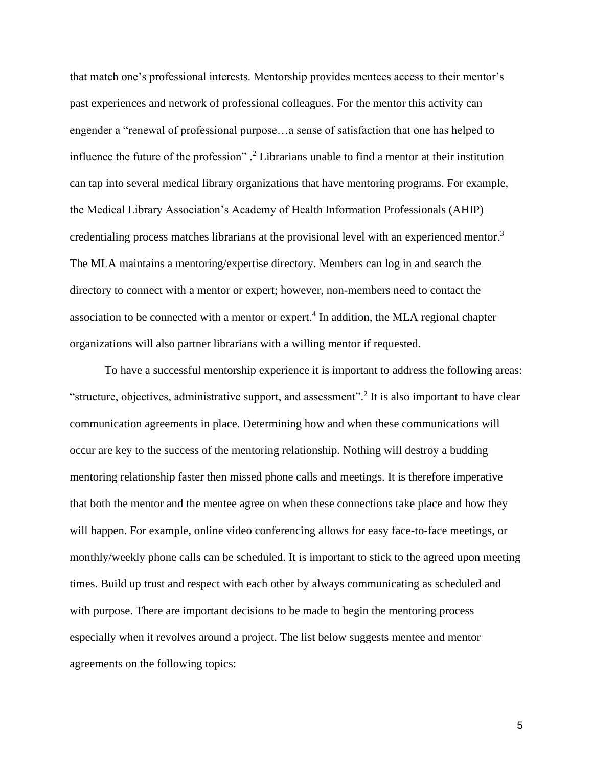that match one's professional interests. Mentorship provides mentees access to their mentor's past experiences and network of professional colleagues. For the mentor this activity can engender a "renewal of professional purpose…a sense of satisfaction that one has helped to influence the future of the profession".<sup>2</sup> Librarians unable to find a mentor at their institution can tap into several medical library organizations that have mentoring programs. For example, the Medical Library Association's Academy of Health Information Professionals (AHIP) credentialing process matches librarians at the provisional level with an experienced mentor. 3 The MLA maintains a mentoring/expertise directory. Members can log in and search the directory to connect with a mentor or expert; however, non-members need to contact the association to be connected with a mentor or expert.<sup>4</sup> In addition, the MLA regional chapter organizations will also partner librarians with a willing mentor if requested.

To have a successful mentorship experience it is important to address the following areas: "structure, objectives, administrative support, and assessment".<sup>2</sup> It is also important to have clear communication agreements in place. Determining how and when these communications will occur are key to the success of the mentoring relationship. Nothing will destroy a budding mentoring relationship faster then missed phone calls and meetings. It is therefore imperative that both the mentor and the mentee agree on when these connections take place and how they will happen. For example, online video conferencing allows for easy face-to-face meetings, or monthly/weekly phone calls can be scheduled. It is important to stick to the agreed upon meeting times. Build up trust and respect with each other by always communicating as scheduled and with purpose. There are important decisions to be made to begin the mentoring process especially when it revolves around a project. The list below suggests mentee and mentor agreements on the following topics: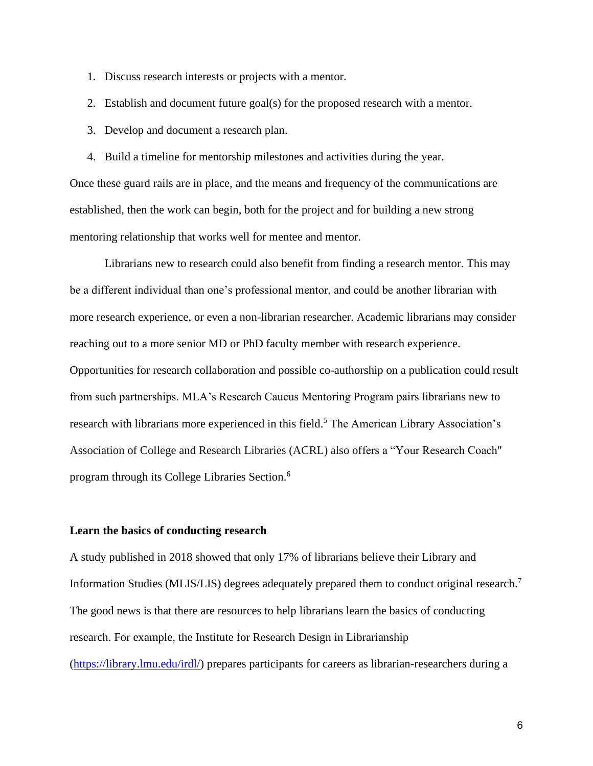- 1. Discuss research interests or projects with a mentor.
- 2. Establish and document future goal(s) for the proposed research with a mentor.
- 3. Develop and document a research plan.
- 4. Build a timeline for mentorship milestones and activities during the year.

Once these guard rails are in place, and the means and frequency of the communications are established, then the work can begin, both for the project and for building a new strong mentoring relationship that works well for mentee and mentor.

Librarians new to research could also benefit from finding a research mentor. This may be a different individual than one's professional mentor, and could be another librarian with more research experience, or even a non-librarian researcher. Academic librarians may consider reaching out to a more senior MD or PhD faculty member with research experience. Opportunities for research collaboration and possible co-authorship on a publication could result from such partnerships. MLA's Research Caucus Mentoring Program pairs librarians new to research with librarians more experienced in this field.<sup>5</sup> The American Library Association's Association of College and Research Libraries (ACRL) also offers a "Your Research Coach" program through its College Libraries Section. 6

#### **Learn the basics of conducting research**

A study published in 2018 showed that only 17% of librarians believe their Library and Information Studies (MLIS/LIS) degrees adequately prepared them to conduct original research.<sup>7</sup> The good news is that there are resources to help librarians learn the basics of conducting research. For example, the Institute for Research Design in Librarianship [\(https://library.lmu.edu/irdl/\)](https://library.lmu.edu/irdl/) prepares participants for careers as librarian-researchers during a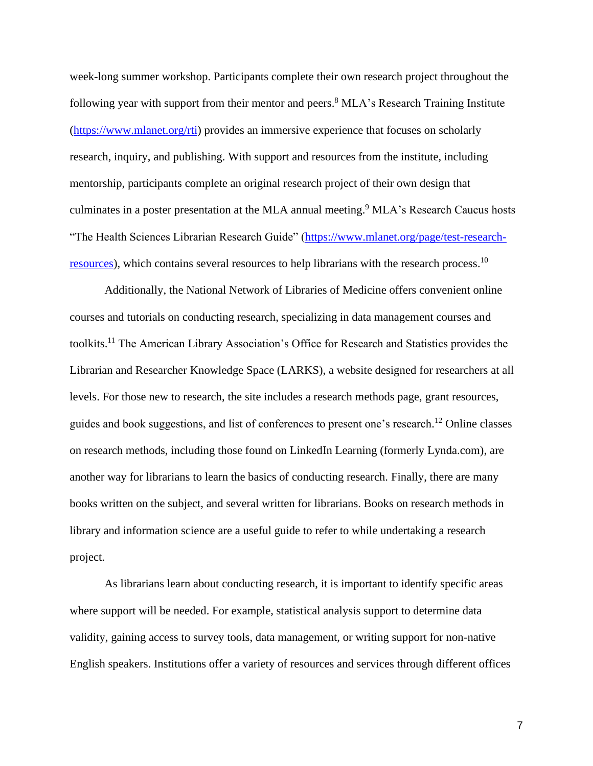week-long summer workshop. Participants complete their own research project throughout the following year with support from their mentor and peers.<sup>8</sup> MLA's Research Training Institute [\(https://www.mlanet.org/rti\)](https://www.mlanet.org/rti) provides an immersive experience that focuses on scholarly research, inquiry, and publishing. With support and resources from the institute, including mentorship, participants complete an original research project of their own design that culminates in a poster presentation at the MLA annual meeting. <sup>9</sup> MLA's Research Caucus hosts "The Health Sciences Librarian Research Guide" [\(https://www.mlanet.org/page/test-research](https://www.mlanet.org/page/test-research-resources)[resources\)](https://www.mlanet.org/page/test-research-resources), which contains several resources to help librarians with the research process.<sup>10</sup>

Additionally, the National Network of Libraries of Medicine offers convenient online courses and tutorials on conducting research, specializing in data management courses and toolkits. <sup>11</sup> The American Library Association's Office for Research and Statistics provides the Librarian and Researcher Knowledge Space (LARKS), a website designed for researchers at all levels. For those new to research, the site includes a research methods page, grant resources, guides and book suggestions, and list of conferences to present one's research.<sup>12</sup> Online classes on research methods, including those found on LinkedIn Learning (formerly Lynda.com), are another way for librarians to learn the basics of conducting research. Finally, there are many books written on the subject, and several written for librarians. Books on research methods in library and information science are a useful guide to refer to while undertaking a research project.

As librarians learn about conducting research, it is important to identify specific areas where support will be needed. For example, statistical analysis support to determine data validity, gaining access to survey tools, data management, or writing support for non-native English speakers. Institutions offer a variety of resources and services through different offices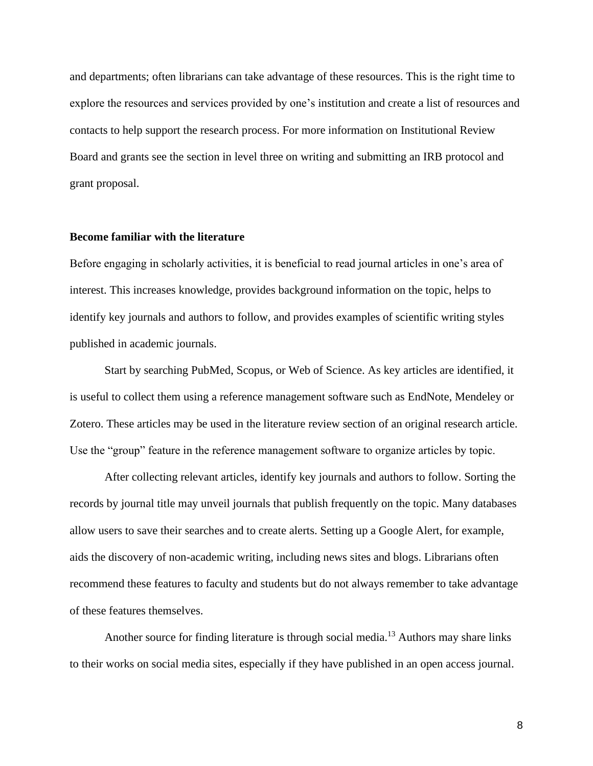and departments; often librarians can take advantage of these resources. This is the right time to explore the resources and services provided by one's institution and create a list of resources and contacts to help support the research process. For more information on Institutional Review Board and grants see the section in level three on writing and submitting an IRB protocol and grant proposal.

#### **Become familiar with the literature**

Before engaging in scholarly activities, it is beneficial to read journal articles in one's area of interest. This increases knowledge, provides background information on the topic, helps to identify key journals and authors to follow, and provides examples of scientific writing styles published in academic journals.

Start by searching PubMed, Scopus, or Web of Science. As key articles are identified, it is useful to collect them using a reference management software such as EndNote, Mendeley or Zotero. These articles may be used in the literature review section of an original research article. Use the "group" feature in the reference management software to organize articles by topic.

After collecting relevant articles, identify key journals and authors to follow. Sorting the records by journal title may unveil journals that publish frequently on the topic. Many databases allow users to save their searches and to create alerts. Setting up a Google Alert, for example, aids the discovery of non-academic writing, including news sites and blogs. Librarians often recommend these features to faculty and students but do not always remember to take advantage of these features themselves.

Another source for finding literature is through social media.<sup>13</sup> Authors may share links to their works on social media sites, especially if they have published in an open access journal.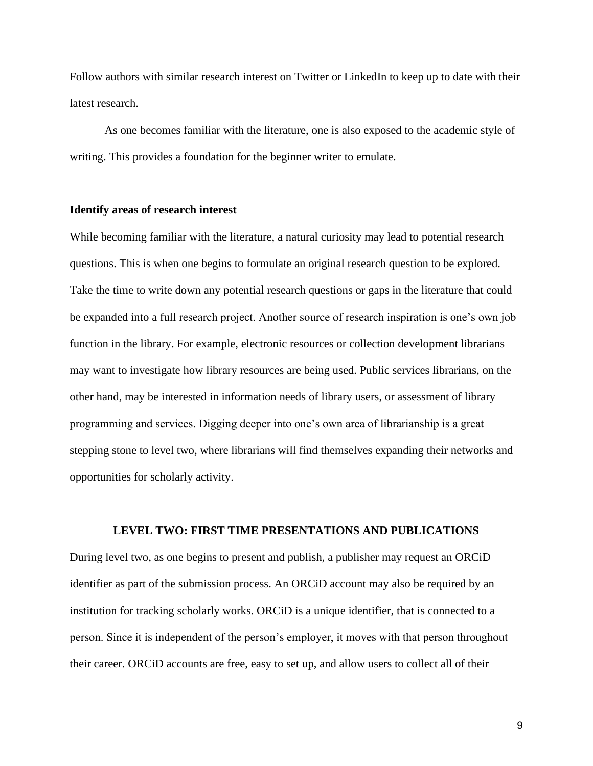Follow authors with similar research interest on Twitter or LinkedIn to keep up to date with their latest research.

As one becomes familiar with the literature, one is also exposed to the academic style of writing. This provides a foundation for the beginner writer to emulate.

## **Identify areas of research interest**

While becoming familiar with the literature, a natural curiosity may lead to potential research questions. This is when one begins to formulate an original research question to be explored. Take the time to write down any potential research questions or gaps in the literature that could be expanded into a full research project. Another source of research inspiration is one's own job function in the library. For example, electronic resources or collection development librarians may want to investigate how library resources are being used. Public services librarians, on the other hand, may be interested in information needs of library users, or assessment of library programming and services. Digging deeper into one's own area of librarianship is a great stepping stone to level two, where librarians will find themselves expanding their networks and opportunities for scholarly activity.

# **LEVEL TWO: FIRST TIME PRESENTATIONS AND PUBLICATIONS**

During level two, as one begins to present and publish, a publisher may request an ORCiD identifier as part of the submission process. An ORCiD account may also be required by an institution for tracking scholarly works. ORCiD is a unique identifier, that is connected to a person. Since it is independent of the person's employer, it moves with that person throughout their career. ORCiD accounts are free, easy to set up, and allow users to collect all of their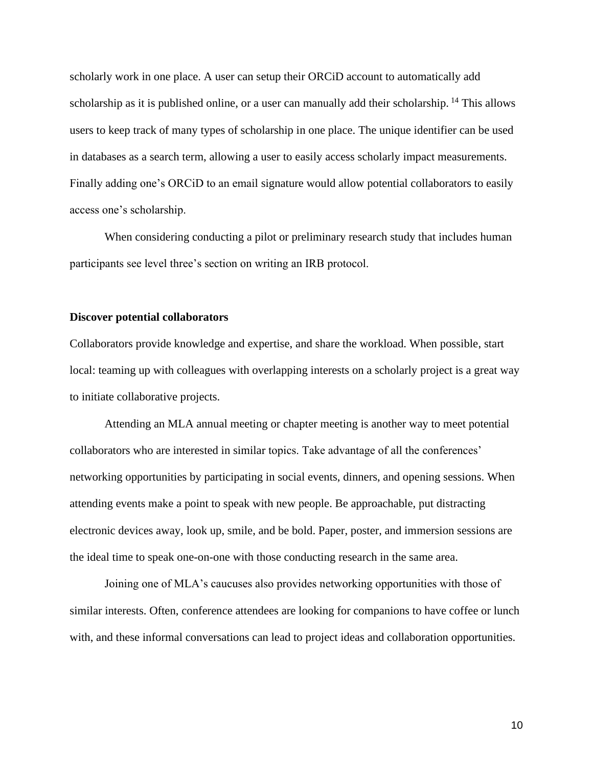scholarly work in one place. A user can setup their ORCiD account to automatically add scholarship as it is published online, or a user can manually add their scholarship. <sup>14</sup> This allows users to keep track of many types of scholarship in one place. The unique identifier can be used in databases as a search term, allowing a user to easily access scholarly impact measurements. Finally adding one's ORCiD to an email signature would allow potential collaborators to easily access one's scholarship.

When considering conducting a pilot or preliminary research study that includes human participants see level three's section on writing an IRB protocol.

#### **Discover potential collaborators**

Collaborators provide knowledge and expertise, and share the workload. When possible, start local: teaming up with colleagues with overlapping interests on a scholarly project is a great way to initiate collaborative projects.

Attending an MLA annual meeting or chapter meeting is another way to meet potential collaborators who are interested in similar topics. Take advantage of all the conferences' networking opportunities by participating in social events, dinners, and opening sessions. When attending events make a point to speak with new people. Be approachable, put distracting electronic devices away, look up, smile, and be bold. Paper, poster, and immersion sessions are the ideal time to speak one-on-one with those conducting research in the same area.

Joining one of MLA's caucuses also provides networking opportunities with those of similar interests. Often, conference attendees are looking for companions to have coffee or lunch with, and these informal conversations can lead to project ideas and collaboration opportunities.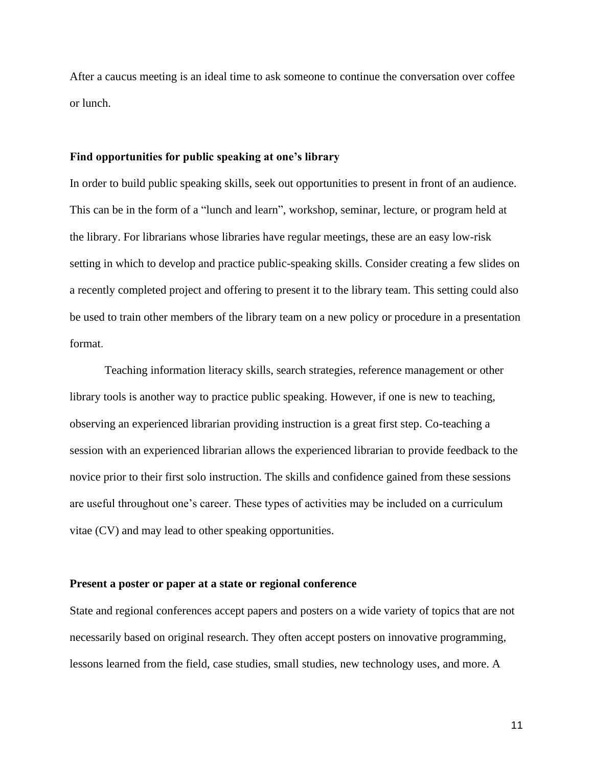After a caucus meeting is an ideal time to ask someone to continue the conversation over coffee or lunch.

#### **Find opportunities for public speaking at one's library**

In order to build public speaking skills, seek out opportunities to present in front of an audience. This can be in the form of a "lunch and learn", workshop, seminar, lecture, or program held at the library. For librarians whose libraries have regular meetings, these are an easy low-risk setting in which to develop and practice public-speaking skills. Consider creating a few slides on a recently completed project and offering to present it to the library team. This setting could also be used to train other members of the library team on a new policy or procedure in a presentation format.

Teaching information literacy skills, search strategies, reference management or other library tools is another way to practice public speaking. However, if one is new to teaching, observing an experienced librarian providing instruction is a great first step. Co-teaching a session with an experienced librarian allows the experienced librarian to provide feedback to the novice prior to their first solo instruction. The skills and confidence gained from these sessions are useful throughout one's career. These types of activities may be included on a curriculum vitae (CV) and may lead to other speaking opportunities.

#### **Present a poster or paper at a state or regional conference**

State and regional conferences accept papers and posters on a wide variety of topics that are not necessarily based on original research. They often accept posters on innovative programming, lessons learned from the field, case studies, small studies, new technology uses, and more. A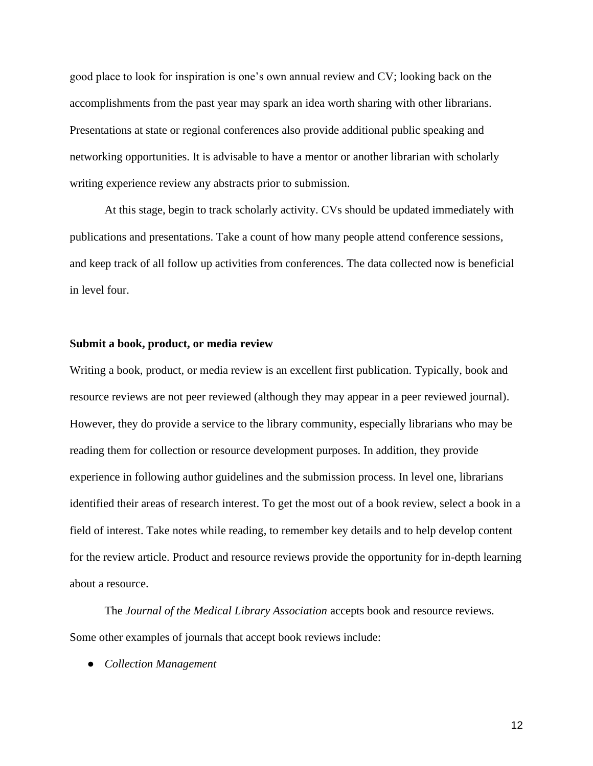good place to look for inspiration is one's own annual review and CV; looking back on the accomplishments from the past year may spark an idea worth sharing with other librarians. Presentations at state or regional conferences also provide additional public speaking and networking opportunities. It is advisable to have a mentor or another librarian with scholarly writing experience review any abstracts prior to submission.

At this stage, begin to track scholarly activity. CVs should be updated immediately with publications and presentations. Take a count of how many people attend conference sessions, and keep track of all follow up activities from conferences. The data collected now is beneficial in level four.

#### **Submit a book, product, or media review**

Writing a book, product, or media review is an excellent first publication. Typically, book and resource reviews are not peer reviewed (although they may appear in a peer reviewed journal). However, they do provide a service to the library community, especially librarians who may be reading them for collection or resource development purposes. In addition, they provide experience in following author guidelines and the submission process. In level one, librarians identified their areas of research interest. To get the most out of a book review, select a book in a field of interest. Take notes while reading, to remember key details and to help develop content for the review article. Product and resource reviews provide the opportunity for in-depth learning about a resource.

The *Journal of the Medical Library Association* accepts book and resource reviews. Some other examples of journals that accept book reviews include:

● *Collection Management*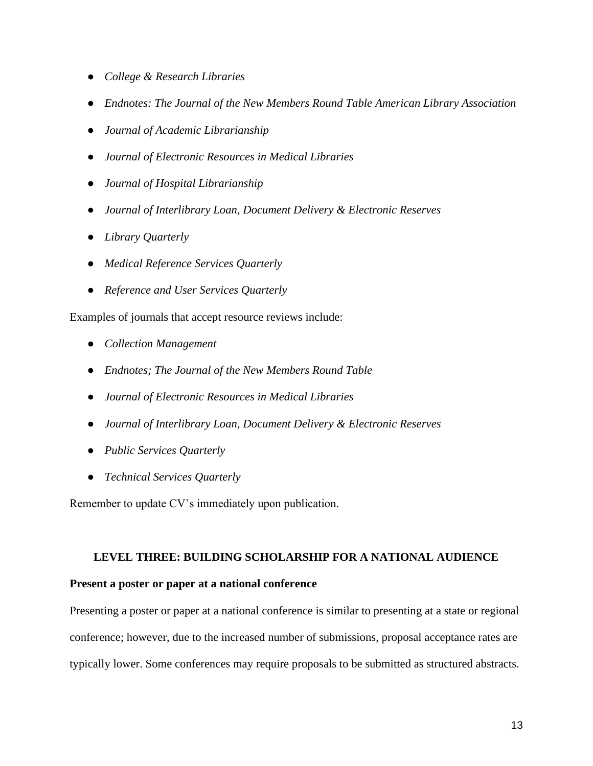- *College & Research Libraries*
- *Endnotes: The Journal of the New Members Round Table American Library Association*
- *Journal of Academic Librarianship*
- *Journal of Electronic Resources in Medical Libraries*
- *Journal of Hospital Librarianship*
- *Journal of Interlibrary Loan, Document Delivery & Electronic Reserves*
- *Library Quarterly*
- *Medical Reference Services Quarterly*
- *Reference and User Services Quarterly*

Examples of journals that accept resource reviews include:

- *Collection Management*
- *Endnotes; The Journal of the New Members Round Table*
- *Journal of Electronic Resources in Medical Libraries*
- *Journal of Interlibrary Loan, Document Delivery & Electronic Reserves*
- *Public Services Quarterly*
- *Technical Services Quarterly*

Remember to update CV's immediately upon publication.

# **LEVEL THREE: BUILDING SCHOLARSHIP FOR A NATIONAL AUDIENCE**

# **Present a poster or paper at a national conference**

Presenting a poster or paper at a national conference is similar to presenting at a state or regional conference; however, due to the increased number of submissions, proposal acceptance rates are typically lower. Some conferences may require proposals to be submitted as structured abstracts.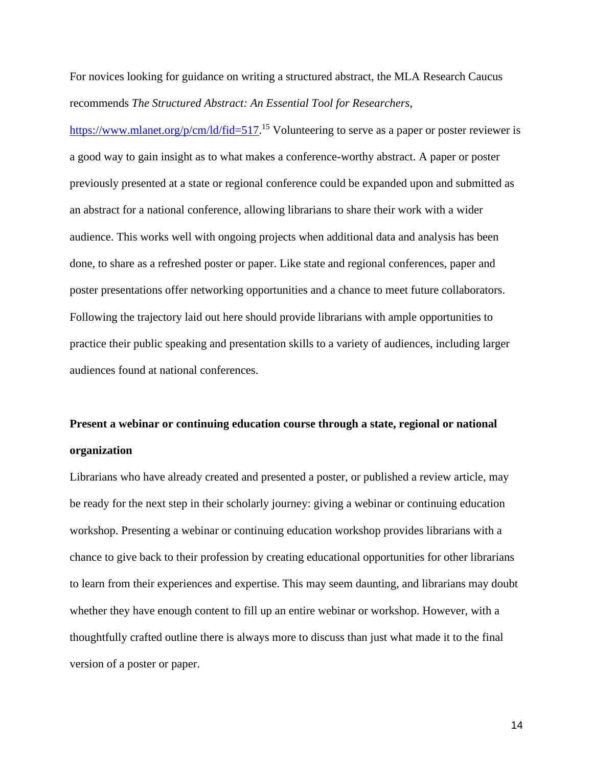For novices looking for guidance on writing a structured abstract, the MLA Research Caucus recommends *The Structured Abstract: An Essential Tool for Researchers*,

[https://www.mlanet.org/p/cm/ld/fid=517.](https://www.mlanet.org/p/cm/ld/fid=517)<sup>15</sup> Volunteering to serve as a paper or poster reviewer is a good way to gain insight as to what makes a conference-worthy abstract. A paper or poster previously presented at a state or regional conference could be expanded upon and submitted as an abstract for a national conference, allowing librarians to share their work with a wider audience. This works well with ongoing projects when additional data and analysis has been done, to share as a refreshed poster or paper. Like state and regional conferences, paper and poster presentations offer networking opportunities and a chance to meet future collaborators. Following the trajectory laid out here should provide librarians with ample opportunities to practice their public speaking and presentation skills to a variety of audiences, including larger audiences found at national conferences.

# **Present a webinar or continuing education course through a state, regional or national organization**

Librarians who have already created and presented a poster, or published a review article, may be ready for the next step in their scholarly journey: giving a webinar or continuing education workshop. Presenting a webinar or continuing education workshop provides librarians with a chance to give back to their profession by creating educational opportunities for other librarians to learn from their experiences and expertise. This may seem daunting, and librarians may doubt whether they have enough content to fill up an entire webinar or workshop. However, with a thoughtfully crafted outline there is always more to discuss than just what made it to the final version of a poster or paper.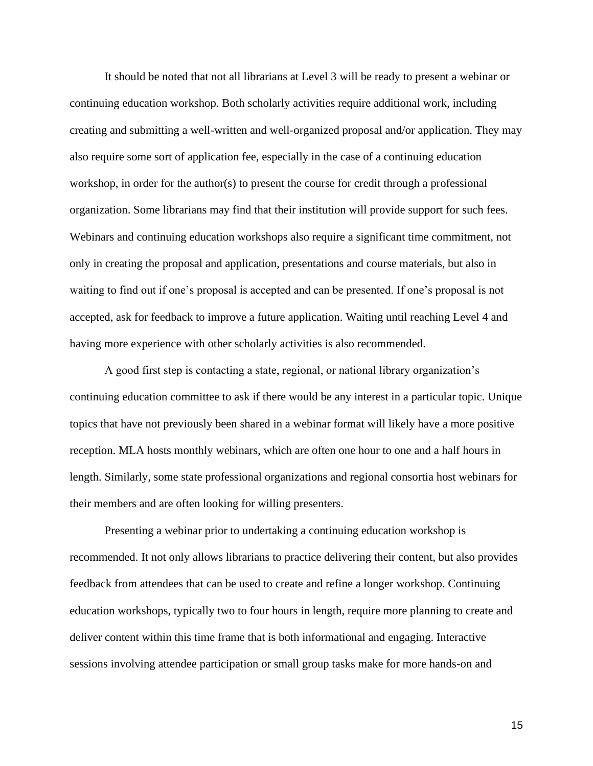It should be noted that not all librarians at Level 3 will be ready to present a webinar or continuing education workshop. Both scholarly activities require additional work, including creating and submitting a well-written and well-organized proposal and/or application. They may also require some sort of application fee, especially in the case of a continuing education workshop, in order for the author(s) to present the course for credit through a professional organization. Some librarians may find that their institution will provide support for such fees. Webinars and continuing education workshops also require a significant time commitment, not only in creating the proposal and application, presentations and course materials, but also in waiting to find out if one's proposal is accepted and can be presented. If one's proposal is not accepted, ask for feedback to improve a future application. Waiting until reaching Level 4 and having more experience with other scholarly activities is also recommended.

A good first step is contacting a state, regional, or national library organization's continuing education committee to ask if there would be any interest in a particular topic. Unique topics that have not previously been shared in a webinar format will likely have a more positive reception. MLA hosts monthly webinars, which are often one hour to one and a half hours in length. Similarly, some state professional organizations and regional consortia host webinars for their members and are often looking for willing presenters.

Presenting a webinar prior to undertaking a continuing education workshop is recommended. It not only allows librarians to practice delivering their content, but also provides feedback from attendees that can be used to create and refine a longer workshop. Continuing education workshops, typically two to four hours in length, require more planning to create and deliver content within this time frame that is both informational and engaging. Interactive sessions involving attendee participation or small group tasks make for more hands-on and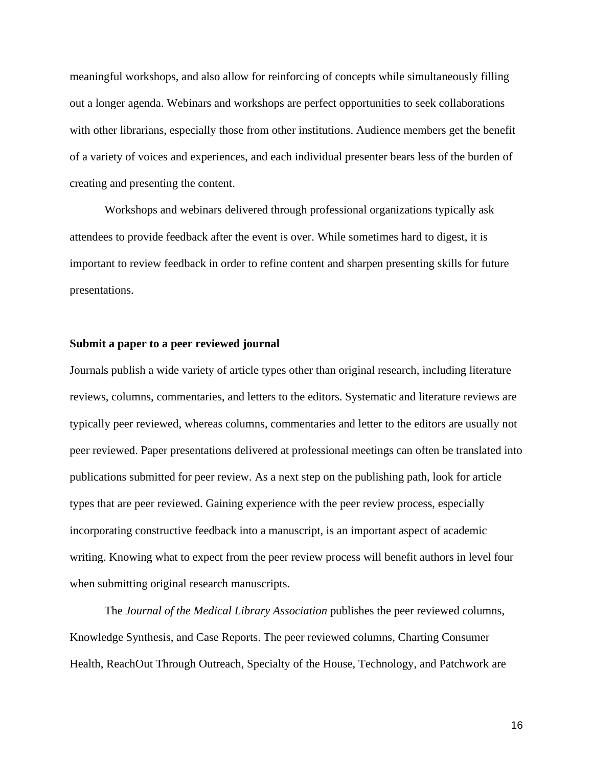meaningful workshops, and also allow for reinforcing of concepts while simultaneously filling out a longer agenda. Webinars and workshops are perfect opportunities to seek collaborations with other librarians, especially those from other institutions. Audience members get the benefit of a variety of voices and experiences, and each individual presenter bears less of the burden of creating and presenting the content.

Workshops and webinars delivered through professional organizations typically ask attendees to provide feedback after the event is over. While sometimes hard to digest, it is important to review feedback in order to refine content and sharpen presenting skills for future presentations.

#### **Submit a paper to a peer reviewed journal**

Journals publish a wide variety of article types other than original research, including literature reviews, columns, commentaries, and letters to the editors. Systematic and literature reviews are typically peer reviewed, whereas columns, commentaries and letter to the editors are usually not peer reviewed. Paper presentations delivered at professional meetings can often be translated into publications submitted for peer review. As a next step on the publishing path, look for article types that are peer reviewed. Gaining experience with the peer review process, especially incorporating constructive feedback into a manuscript, is an important aspect of academic writing. Knowing what to expect from the peer review process will benefit authors in level four when submitting original research manuscripts.

The *Journal of the Medical Library Association* publishes the peer reviewed columns, Knowledge Synthesis, and Case Reports. The peer reviewed columns, Charting Consumer Health, ReachOut Through Outreach, Specialty of the House, Technology, and Patchwork are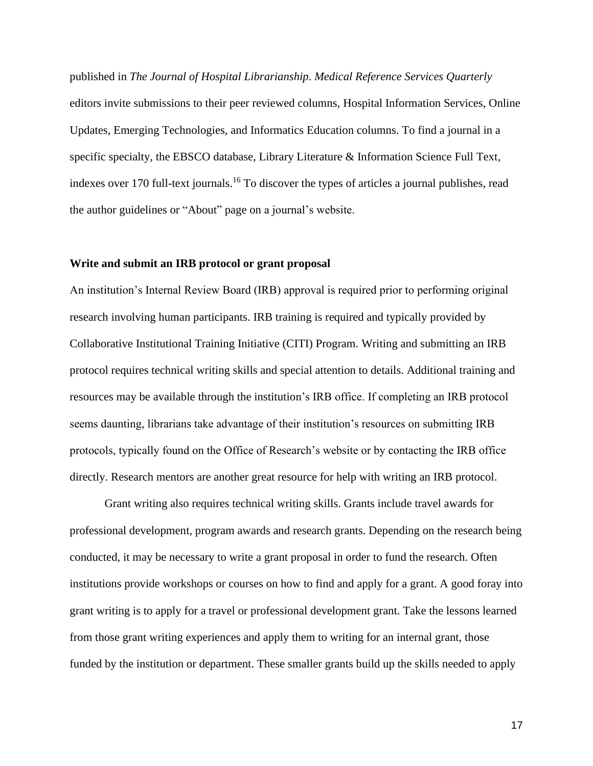published in *The Journal of Hospital Librarianship*. *Medical Reference Services Quarterly* editors invite submissions to their peer reviewed columns, Hospital Information Services, Online Updates, Emerging Technologies, and Informatics Education columns. To find a journal in a specific specialty, the EBSCO database, Library Literature & Information Science Full Text, indexes over 170 full-text journals. <sup>16</sup> To discover the types of articles a journal publishes, read the author guidelines or "About" page on a journal's website.

#### **Write and submit an IRB protocol or grant proposal**

An institution's Internal Review Board (IRB) approval is required prior to performing original research involving human participants. IRB training is required and typically provided by Collaborative Institutional Training Initiative (CITI) Program. Writing and submitting an IRB protocol requires technical writing skills and special attention to details. Additional training and resources may be available through the institution's IRB office. If completing an IRB protocol seems daunting, librarians take advantage of their institution's resources on submitting IRB protocols, typically found on the Office of Research's website or by contacting the IRB office directly. Research mentors are another great resource for help with writing an IRB protocol.

Grant writing also requires technical writing skills. Grants include travel awards for professional development, program awards and research grants. Depending on the research being conducted, it may be necessary to write a grant proposal in order to fund the research. Often institutions provide workshops or courses on how to find and apply for a grant. A good foray into grant writing is to apply for a travel or professional development grant. Take the lessons learned from those grant writing experiences and apply them to writing for an internal grant, those funded by the institution or department. These smaller grants build up the skills needed to apply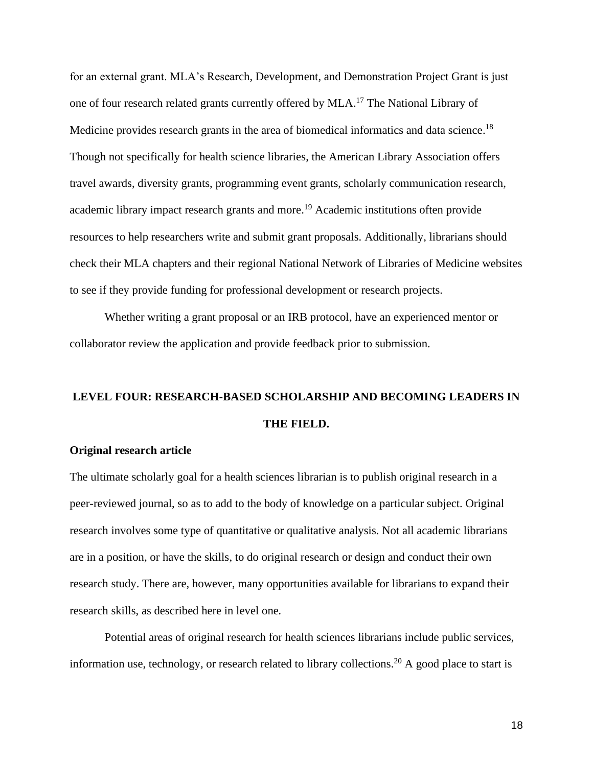for an external grant. MLA's Research, Development, and Demonstration Project Grant is just one of four research related grants currently offered by MLA.<sup>17</sup> The National Library of Medicine provides research grants in the area of biomedical informatics and data science.<sup>18</sup> Though not specifically for health science libraries, the American Library Association offers travel awards, diversity grants, programming event grants, scholarly communication research, academic library impact research grants and more. <sup>19</sup> Academic institutions often provide resources to help researchers write and submit grant proposals. Additionally, librarians should check their MLA chapters and their regional National Network of Libraries of Medicine websites to see if they provide funding for professional development or research projects.

Whether writing a grant proposal or an IRB protocol, have an experienced mentor or collaborator review the application and provide feedback prior to submission.

# **LEVEL FOUR: RESEARCH-BASED SCHOLARSHIP AND BECOMING LEADERS IN THE FIELD.**

# **Original research article**

The ultimate scholarly goal for a health sciences librarian is to publish original research in a peer-reviewed journal, so as to add to the body of knowledge on a particular subject. Original research involves some type of quantitative or qualitative analysis. Not all academic librarians are in a position, or have the skills, to do original research or design and conduct their own research study. There are, however, many opportunities available for librarians to expand their research skills, as described here in level one*.* 

Potential areas of original research for health sciences librarians include public services, information use, technology, or research related to library collections.<sup>20</sup> A good place to start is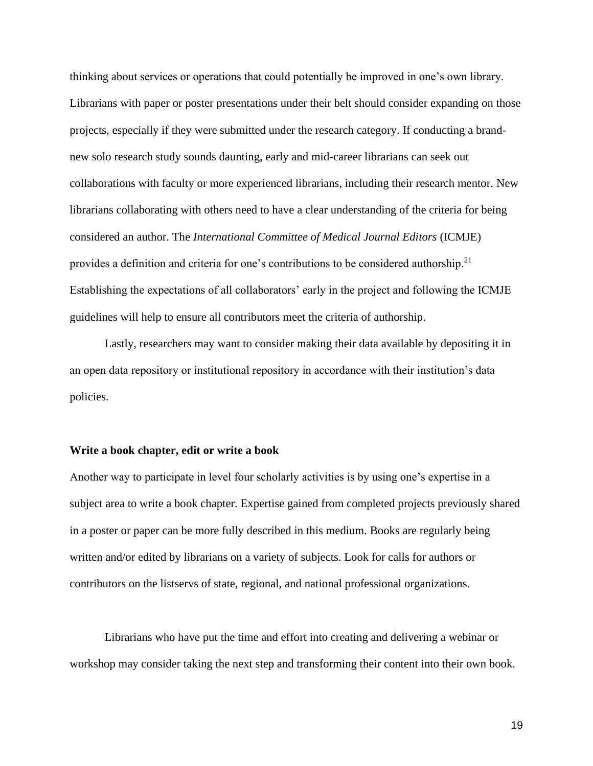thinking about services or operations that could potentially be improved in one's own library. Librarians with paper or poster presentations under their belt should consider expanding on those projects, especially if they were submitted under the research category. If conducting a brandnew solo research study sounds daunting, early and mid-career librarians can seek out collaborations with faculty or more experienced librarians, including their research mentor. New librarians collaborating with others need to have a clear understanding of the criteria for being considered an author. The *International Committee of Medical Journal Editors* (ICMJE) provides a definition and criteria for one's contributions to be considered authorship.<sup>21</sup> Establishing the expectations of all collaborators' early in the project and following the ICMJE guidelines will help to ensure all contributors meet the criteria of authorship.

Lastly, researchers may want to consider making their data available by depositing it in an open data repository or institutional repository in accordance with their institution's data policies.

# **Write a book chapter, edit or write a book**

Another way to participate in level four scholarly activities is by using one's expertise in a subject area to write a book chapter. Expertise gained from completed projects previously shared in a poster or paper can be more fully described in this medium. Books are regularly being written and/or edited by librarians on a variety of subjects. Look for calls for authors or contributors on the listservs of state, regional, and national professional organizations.

Librarians who have put the time and effort into creating and delivering a webinar or workshop may consider taking the next step and transforming their content into their own book.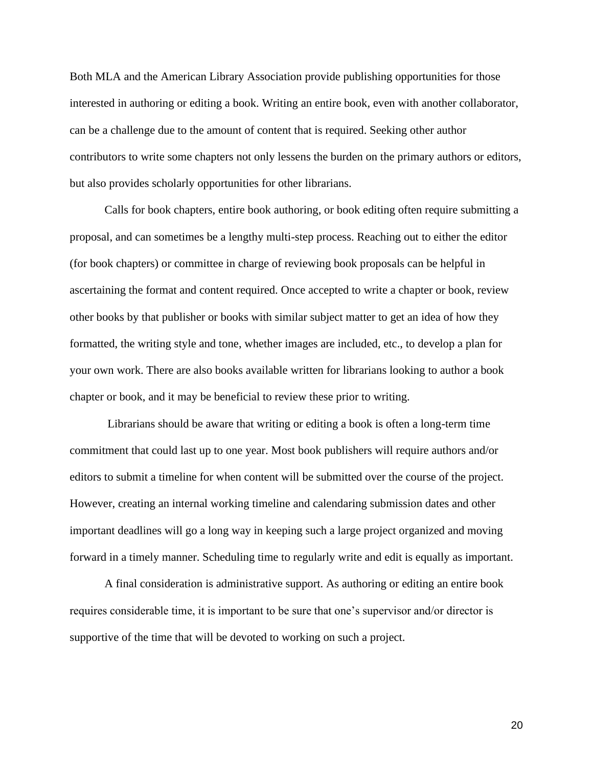Both MLA and the American Library Association provide publishing opportunities for those interested in authoring or editing a book. Writing an entire book, even with another collaborator, can be a challenge due to the amount of content that is required. Seeking other author contributors to write some chapters not only lessens the burden on the primary authors or editors, but also provides scholarly opportunities for other librarians.

Calls for book chapters, entire book authoring, or book editing often require submitting a proposal, and can sometimes be a lengthy multi-step process. Reaching out to either the editor (for book chapters) or committee in charge of reviewing book proposals can be helpful in ascertaining the format and content required. Once accepted to write a chapter or book, review other books by that publisher or books with similar subject matter to get an idea of how they formatted, the writing style and tone, whether images are included, etc., to develop a plan for your own work. There are also books available written for librarians looking to author a book chapter or book, and it may be beneficial to review these prior to writing.

Librarians should be aware that writing or editing a book is often a long-term time commitment that could last up to one year. Most book publishers will require authors and/or editors to submit a timeline for when content will be submitted over the course of the project. However, creating an internal working timeline and calendaring submission dates and other important deadlines will go a long way in keeping such a large project organized and moving forward in a timely manner. Scheduling time to regularly write and edit is equally as important.

A final consideration is administrative support. As authoring or editing an entire book requires considerable time, it is important to be sure that one's supervisor and/or director is supportive of the time that will be devoted to working on such a project.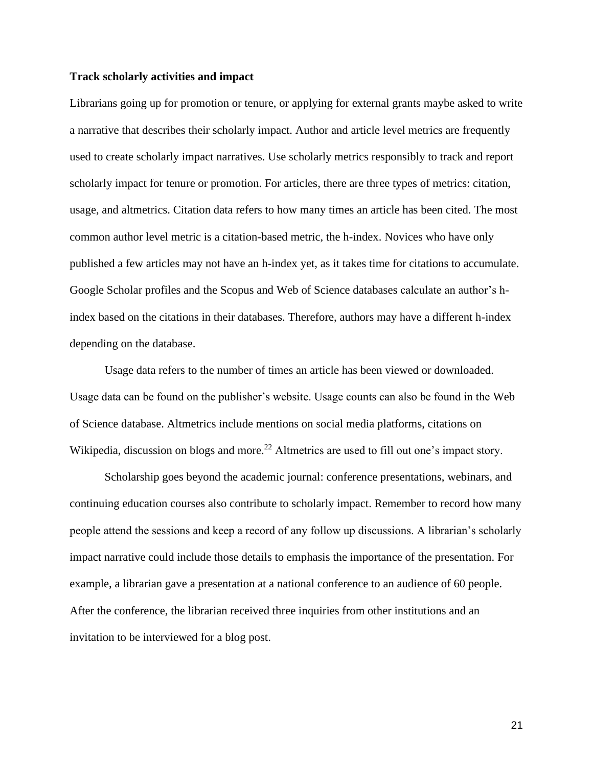#### **Track scholarly activities and impact**

Librarians going up for promotion or tenure, or applying for external grants maybe asked to write a narrative that describes their scholarly impact. Author and article level metrics are frequently used to create scholarly impact narratives. Use scholarly metrics responsibly to track and report scholarly impact for tenure or promotion. For articles, there are three types of metrics: citation, usage, and altmetrics. Citation data refers to how many times an article has been cited. The most common author level metric is a citation-based metric, the h-index. Novices who have only published a few articles may not have an h-index yet, as it takes time for citations to accumulate. Google Scholar profiles and the Scopus and Web of Science databases calculate an author's hindex based on the citations in their databases. Therefore, authors may have a different h-index depending on the database.

Usage data refers to the number of times an article has been viewed or downloaded. Usage data can be found on the publisher's website. Usage counts can also be found in the Web of Science database. Altmetrics include mentions on social media platforms, citations on Wikipedia, discussion on blogs and more.<sup>22</sup> Altmetrics are used to fill out one's impact story.

Scholarship goes beyond the academic journal: conference presentations, webinars, and continuing education courses also contribute to scholarly impact. Remember to record how many people attend the sessions and keep a record of any follow up discussions. A librarian's scholarly impact narrative could include those details to emphasis the importance of the presentation. For example, a librarian gave a presentation at a national conference to an audience of 60 people. After the conference, the librarian received three inquiries from other institutions and an invitation to be interviewed for a blog post.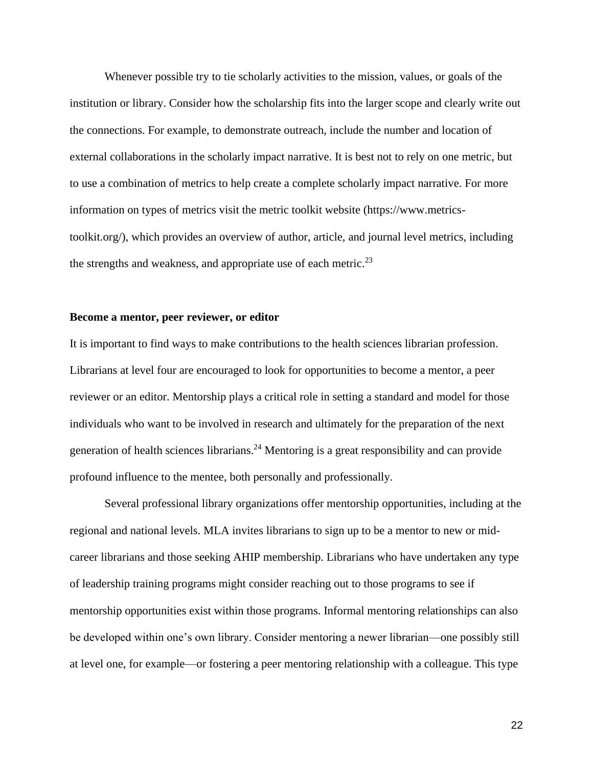Whenever possible try to tie scholarly activities to the mission, values, or goals of the institution or library. Consider how the scholarship fits into the larger scope and clearly write out the connections. For example, to demonstrate outreach, include the number and location of external collaborations in the scholarly impact narrative. It is best not to rely on one metric, but to use a combination of metrics to help create a complete scholarly impact narrative. For more information on types of metrics visit the metric toolkit website (https://www.metricstoolkit.org/), which provides an overview of author, article, and journal level metrics, including the strengths and weakness, and appropriate use of each metric.<sup>23</sup>

#### **Become a mentor, peer reviewer, or editor**

It is important to find ways to make contributions to the health sciences librarian profession. Librarians at level four are encouraged to look for opportunities to become a mentor, a peer reviewer or an editor. Mentorship plays a critical role in setting a standard and model for those individuals who want to be involved in research and ultimately for the preparation of the next generation of health sciences librarians.<sup>24</sup> Mentoring is a great responsibility and can provide profound influence to the mentee, both personally and professionally.

Several professional library organizations offer mentorship opportunities, including at the regional and national levels. MLA invites librarians to sign up to be a mentor to new or midcareer librarians and those seeking AHIP membership. Librarians who have undertaken any type of leadership training programs might consider reaching out to those programs to see if mentorship opportunities exist within those programs. Informal mentoring relationships can also be developed within one's own library. Consider mentoring a newer librarian—one possibly still at level one, for example—or fostering a peer mentoring relationship with a colleague. This type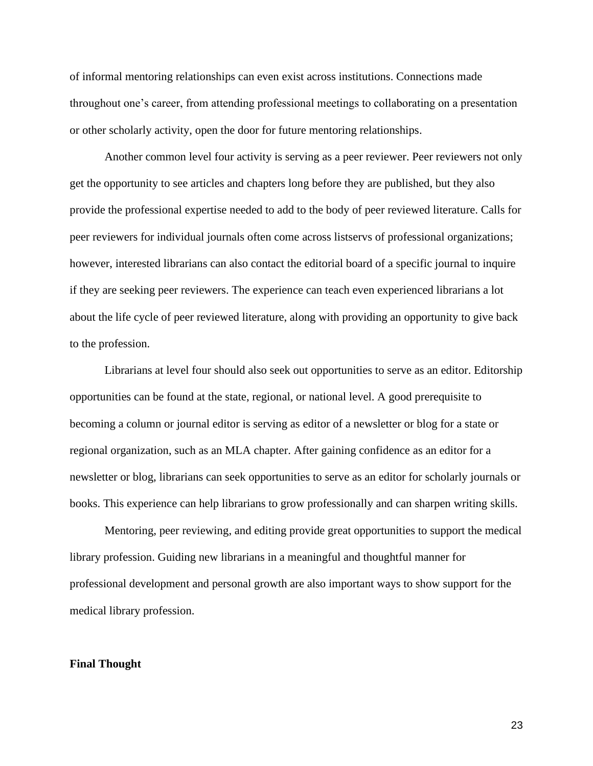of informal mentoring relationships can even exist across institutions. Connections made throughout one's career, from attending professional meetings to collaborating on a presentation or other scholarly activity, open the door for future mentoring relationships.

Another common level four activity is serving as a peer reviewer. Peer reviewers not only get the opportunity to see articles and chapters long before they are published, but they also provide the professional expertise needed to add to the body of peer reviewed literature. Calls for peer reviewers for individual journals often come across listservs of professional organizations; however, interested librarians can also contact the editorial board of a specific journal to inquire if they are seeking peer reviewers. The experience can teach even experienced librarians a lot about the life cycle of peer reviewed literature, along with providing an opportunity to give back to the profession.

Librarians at level four should also seek out opportunities to serve as an editor. Editorship opportunities can be found at the state, regional, or national level. A good prerequisite to becoming a column or journal editor is serving as editor of a newsletter or blog for a state or regional organization, such as an MLA chapter. After gaining confidence as an editor for a newsletter or blog, librarians can seek opportunities to serve as an editor for scholarly journals or books. This experience can help librarians to grow professionally and can sharpen writing skills.

Mentoring, peer reviewing, and editing provide great opportunities to support the medical library profession. Guiding new librarians in a meaningful and thoughtful manner for professional development and personal growth are also important ways to show support for the medical library profession.

#### **Final Thought**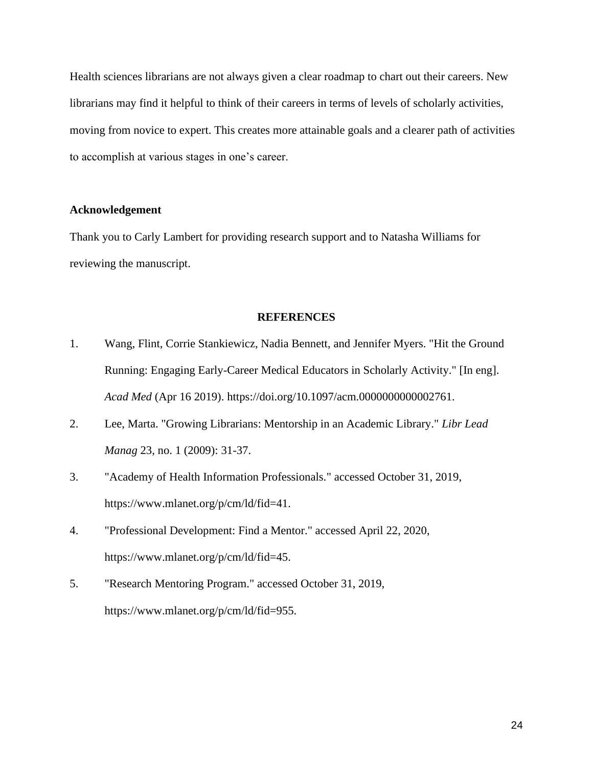Health sciences librarians are not always given a clear roadmap to chart out their careers. New librarians may find it helpful to think of their careers in terms of levels of scholarly activities, moving from novice to expert. This creates more attainable goals and a clearer path of activities to accomplish at various stages in one's career.

# **Acknowledgement**

Thank you to Carly Lambert for providing research support and to Natasha Williams for reviewing the manuscript.

#### **REFERENCES**

- 1. Wang, Flint, Corrie Stankiewicz, Nadia Bennett, and Jennifer Myers. "Hit the Ground Running: Engaging Early-Career Medical Educators in Scholarly Activity." [In eng]. *Acad Med* (Apr 16 2019). https://doi.org/10.1097/acm.0000000000002761.
- 2. Lee, Marta. "Growing Librarians: Mentorship in an Academic Library." *Libr Lead Manag* 23, no. 1 (2009): 31-37.
- 3. "Academy of Health Information Professionals." accessed October 31, 2019, https://www.mlanet.org/p/cm/ld/fid=41.
- 4. "Professional Development: Find a Mentor." accessed April 22, 2020, https://www.mlanet.org/p/cm/ld/fid=45.
- 5. "Research Mentoring Program." accessed October 31, 2019, https://www.mlanet.org/p/cm/ld/fid=955.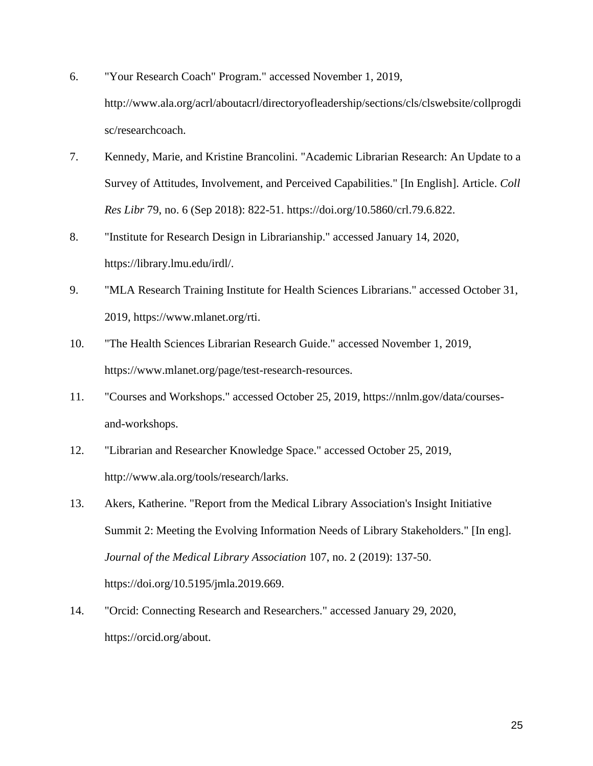- 6. "Your Research Coach" Program." accessed November 1, 2019, http://www.ala.org/acrl/aboutacrl/directoryofleadership/sections/cls/clswebsite/collprogdi sc/researchcoach.
- 7. Kennedy, Marie, and Kristine Brancolini. "Academic Librarian Research: An Update to a Survey of Attitudes, Involvement, and Perceived Capabilities." [In English]. Article. *Coll Res Libr* 79, no. 6 (Sep 2018): 822-51. https://doi.org/10.5860/crl.79.6.822.
- 8. "Institute for Research Design in Librarianship." accessed January 14, 2020, https://library.lmu.edu/irdl/.
- 9. "MLA Research Training Institute for Health Sciences Librarians." accessed October 31, 2019, https://www.mlanet.org/rti.
- 10. "The Health Sciences Librarian Research Guide." accessed November 1, 2019, https://www.mlanet.org/page/test-research-resources.
- 11. "Courses and Workshops." accessed October 25, 2019, https://nnlm.gov/data/coursesand-workshops.
- 12. "Librarian and Researcher Knowledge Space." accessed October 25, 2019, http://www.ala.org/tools/research/larks.
- 13. Akers, Katherine. "Report from the Medical Library Association's Insight Initiative Summit 2: Meeting the Evolving Information Needs of Library Stakeholders." [In eng]. *Journal of the Medical Library Association* 107, no. 2 (2019): 137-50. https://doi.org/10.5195/jmla.2019.669.
- 14. "Orcid: Connecting Research and Researchers." accessed January 29, 2020, https://orcid.org/about.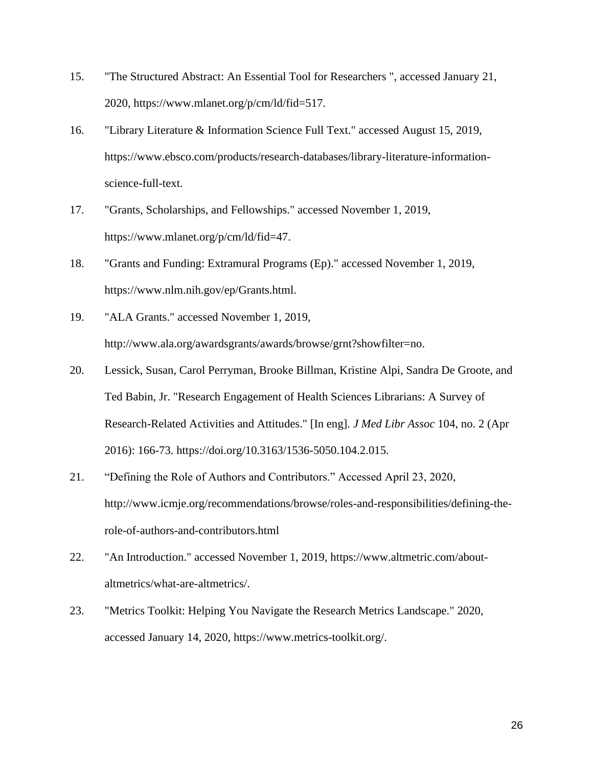- 15. "The Structured Abstract: An Essential Tool for Researchers ", accessed January 21, 2020, https://www.mlanet.org/p/cm/ld/fid=517.
- 16. "Library Literature & Information Science Full Text." accessed August 15, 2019, https://www.ebsco.com/products/research-databases/library-literature-informationscience-full-text.
- 17. "Grants, Scholarships, and Fellowships." accessed November 1, 2019, https://www.mlanet.org/p/cm/ld/fid=47.
- 18. "Grants and Funding: Extramural Programs (Ep)." accessed November 1, 2019, https://www.nlm.nih.gov/ep/Grants.html.
- 19. "ALA Grants." accessed November 1, 2019, http://www.ala.org/awardsgrants/awards/browse/grnt?showfilter=no.
- 20. Lessick, Susan, Carol Perryman, Brooke Billman, Kristine Alpi, Sandra De Groote, and Ted Babin, Jr. "Research Engagement of Health Sciences Librarians: A Survey of Research-Related Activities and Attitudes." [In eng]. *J Med Libr Assoc* 104, no. 2 (Apr 2016): 166-73. https://doi.org/10.3163/1536-5050.104.2.015.
- 21. "Defining the Role of Authors and Contributors." Accessed April 23, 2020, http://www.icmje.org/recommendations/browse/roles-and-responsibilities/defining-therole-of-authors-and-contributors.html
- 22. "An Introduction." accessed November 1, 2019, https://www.altmetric.com/aboutaltmetrics/what-are-altmetrics/.
- 23. "Metrics Toolkit: Helping You Navigate the Research Metrics Landscape." 2020, accessed January 14, 2020, https://www.metrics-toolkit.org/.